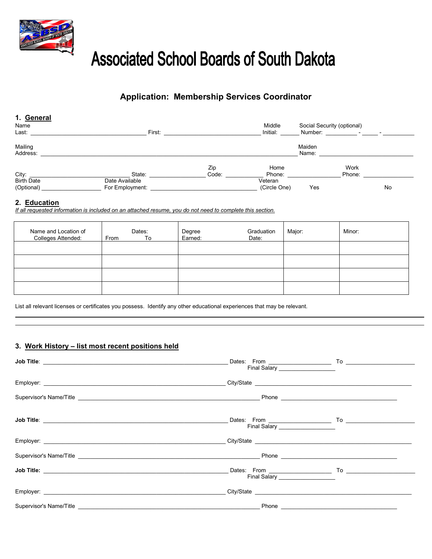

# **Associated School Boards of South Dakota**

# **Application: Membership Services Coordinator**

| 1. General<br>Name<br>Last:     | First:                            |              | Middle<br>Initial:      | Social Security (optional)<br>Number: | the contract of the contract of | $\overline{\phantom{0}}$ |
|---------------------------------|-----------------------------------|--------------|-------------------------|---------------------------------------|---------------------------------|--------------------------|
| Mailing<br>Address:             |                                   |              |                         | Maiden<br>Name:                       |                                 |                          |
| City:                           | State:                            | Zip<br>Code: | Home<br>Phone:          |                                       | Work<br>Phone:                  |                          |
| <b>Birth Date</b><br>(Optional) | Date Available<br>For Employment: |              | Veteran<br>(Circle One) | Yes                                   |                                 | No                       |

### **2. Education**

*If all requested information is included on an attached resume, you do not need to complete this section.*

| Name and Location of<br>Colleges Attended: | Dates:<br>From<br>To | Graduation<br>Degree<br>Earned:<br>Date: | Major: | Minor: |
|--------------------------------------------|----------------------|------------------------------------------|--------|--------|
|                                            |                      |                                          |        |        |
|                                            |                      |                                          |        |        |
|                                            |                      |                                          |        |        |
|                                            |                      |                                          |        |        |

List all relevant licenses or certificates you possess. Identify any other educational experiences that may be relevant.

## **3. Work History – list most recent positions held**

| Final Salary ___________________       |  |
|----------------------------------------|--|
|                                        |  |
|                                        |  |
| Final Salary <u>__________________</u> |  |
|                                        |  |
|                                        |  |
| Final Salary ___________________       |  |
|                                        |  |
|                                        |  |